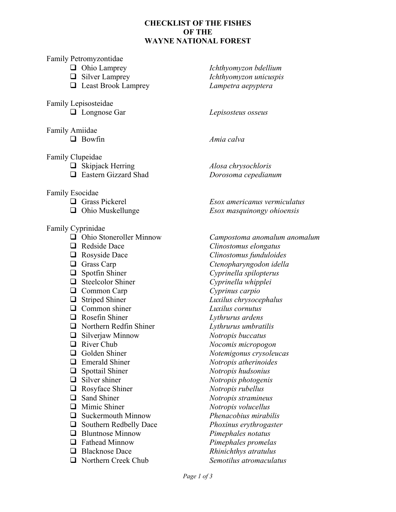#### **CHECKLIST OF THE FISHES OF THE WAYNE NATIONAL FOREST**

Family Petromyzontidae Ohio Lamprey *Ichthyomyzon bdellium* Silver Lamprey *Ichthyomyzon unicuspis* Least Brook Lamprey *Lampetra aepyptera* Family Lepisosteidae Longnose Gar *Lepisosteus osseus* Family Amiidae Bowfin *Amia calva* Family Clupeidae Skipjack Herring *Alosa chrysochloris* Eastern Gizzard Shad *Dorosoma cepedianum* Family Esocidae Grass Pickerel *Esox americanus vermiculatus* Ohio Muskellunge *Esox masquinongy ohioensis* Family Cyprinidae Ohio Stoneroller Minnow *Campostoma anomalum anomalum* Redside Dace *Clinostomus elongatus* Rosyside Dace *Clinostomus funduloides* Grass Carp *Ctenopharyngodon idella* Spotfin Shiner *Cyprinella spilopterus* Steelcolor Shiner *Cyprinella whipplei* Common Carp *Cyprinus carpio* Striped Shiner *Luxilus chrysocephalus* Common shiner *Luxilus cornutus* Rosefin Shiner *Lythrurus ardens* Northern Redfin Shiner *Lythrurus umbratilis*  Silverjaw Minnow *Notropis buccatus* River Chub *Nocomis micropogon* Golden Shiner *Notemigonus crysoleucas* Emerald Shiner *Notropis atherinoides* Spottail Shiner *Notropis hudsonius* □ Silver shiner *Notropis photogenis*  Rosyface Shiner *Notropis rubellus* □ Sand Shiner *Notropis stramineus*  Mimic Shiner *Notropis volucellus* Suckermouth Minnow *Phenacobius mirabilis* Southern Redbelly Dace *Phoxinus erythrogaster* Bluntnose Minnow *Pimephales notatus* Fathead Minnow *Pimephales promelas* Blacknose Dace *Rhinichthys atratulus* Northern Creek Chub *Semotilus atromaculatus*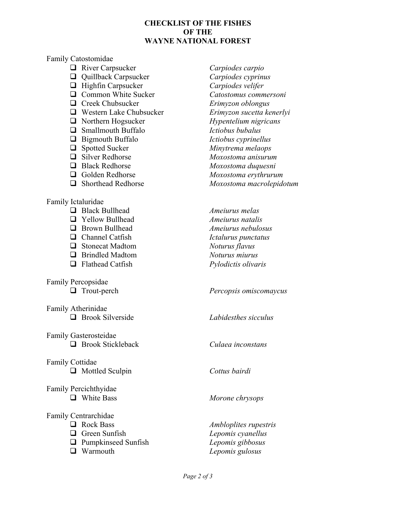#### **CHECKLIST OF THE FISHES OF THE WAYNE NATIONAL FOREST**

#### Family Catostomidae

- River Carpsucker *Carpiodes carpio*
- Quillback Carpsucker *Carpiodes cyprinus*
- Highfin Carpsucker *Carpiodes velifer*
- Common White Sucker *Catostomus commersoni*
- Creek Chubsucker *Erimyzon oblongus*
- Western Lake Chubsucker *Erimyzon sucetta kenerlyi*
- Northern Hogsucker *Hypentelium nigricans*
- Smallmouth Buffalo *Ictiobus bubalus*
- Bigmouth Buffalo *Ictiobus cyprinellus*
- 
- 
- 
- 
- 

#### Family Ictaluridae

- Black Bullhead *Ameiurus melas*
- Yellow Bullhead *Ameiurus natalis*
- 
- Channel Catfish *Ictalurus punctatus*
- Stonecat Madtom *Noturus flavus*
- Brindled Madtom *Noturus miurus*
- Flathead Catfish *Pylodictis olivaris*

#### Family Percopsidae

- 
- Family Atherinidae Brook Silverside *Labidesthes sicculus*
- Family Gasterosteidae Brook Stickleback *Culaea inconstans*

## Family Cottidae Mottled Sculpin *Cottus bairdi*

Family Percichthyidae

## Family Centrarchidae

- Rock Bass *Ambloplites rupestris*
- 
- 
- 
- Spotted Sucker *Minytrema melaops* Silver Redhorse *Moxostoma anisurum* Black Redhorse *Moxostoma duquesni* Golden Redhorse *Moxostoma erythrurum* Shorthead Redhorse *Moxostoma macrolepidotum*
- Brown Bullhead *Ameiurus nebulosus*

Trout-perch *Percopsis omiscomaycus*

White Bass *Morone chrysops*

 Green Sunfish *Lepomis cyanellus* Pumpkinseed Sunfish *Lepomis gibbosus* Warmouth *Lepomis gulosus*